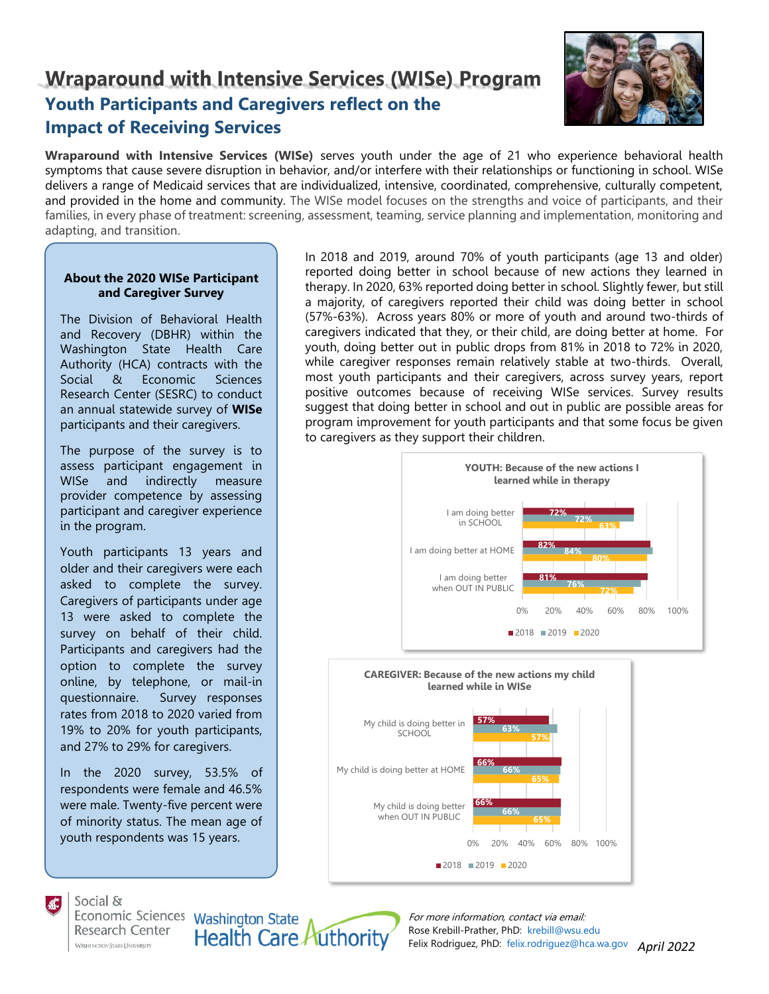# **Wraparound with Intensive Services (WISe) Program Youth Participants and Caregivers reflect on the Impact of Receiving Services**



**Wraparound with Intensive Services (WISe)** serves youth under the age of 21 who experience behavioral health symptoms that cause severe disruption in behavior, and/or interfere with their relationships or functioning in school. WISe delivers a range of Medicaid services that are individualized, intensive, coordinated, comprehensive, culturally competent, and provided in the home and community. The WISe model focuses on the strengths and voice of participants, and their families, in every phase of treatment: screening, assessment, teaming, service planning and implementation, monitoring and adapting, and transition.

## **About the 2020 WISe Participant and Caregiver Survey**

The Division of Behavioral Health and Recovery (DBHR) within the Washington State Health Care Authority (HCA) contracts with the Social & Economic Sciences Research Center (SESRC) to conduct an annual statewide survey of **WISe** participants and their caregivers.

The purpose of the survey is to assess participant engagement in WISe and indirectly measure provider competence by assessing participant and caregiver experience in the program.

Youth participants 13 years and older and their caregivers were each asked to complete the survey. Caregivers of participants under age 13 were asked to complete the survey on behalf of their child. Participants and caregivers had the option to complete the survey online, by telephone, or mail-in questionnaire. Survey responses rates from 2018 to 2020 varied from 19% to 20% for youth participants, and 27% to 29% for caregivers.

In the 2020 survey, 53.5% of respondents were female and 46.5% were male. Twenty-five percent were of minority status. The mean age of youth respondents was 15 years.

**Health Care Authority** 

In 2018 and 2019, around 70% of youth participants (age 13 and older) reported doing better in school because of new actions they learned in therapy. In 2020, 63% reported doing better in school. Slightly fewer, but still a majority, of caregivers reported their child was doing better in school (57%-63%). Across years 80% or more of youth and around two-thirds of caregivers indicated that they, or their child, are doing better at home. For youth, doing better out in public drops from 81% in 2018 to 72% in 2020, while caregiver responses remain relatively stable at two-thirds. Overall, most youth participants and their caregivers, across survey years, report positive outcomes because of receiving WISe services. Survey results suggest that doing better in school and out in public are possible areas for program improvement for youth participants and that some focus be given to caregivers as they support their children.



Social &

Economic Sciences Washington State Research Center **WASHINGTON STATE UNIVERSITY** 

*April 2022* Felix Rodriguez, PhD: [felix.rodriguez@hca.wa.gov](mailto:felix.rodriguez@hca.wa.gov) For more information, contact via email: Rose Krebill-Prather, PhD: [krebill@wsu.edu](mailto:krebill@wsu.edu)